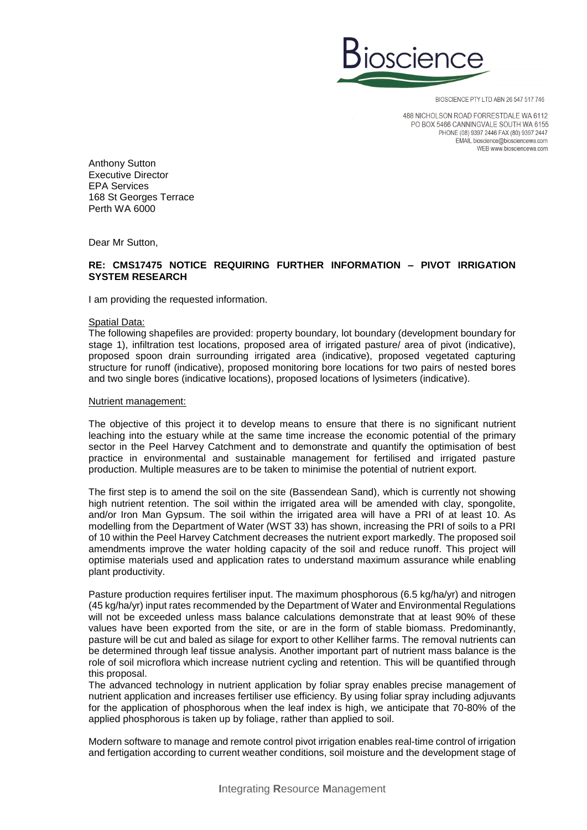

BIOSCIENCE PTY LTD ABN 26 547 517 746

488 NICHOLSON ROAD FORRESTDALE WA 6112 PO BOX 5466 CANNINGVALE SOUTH WA 6155 PHONE (08) 9397 2446 FAX (80) 9397 2447 EMAIL bioscience@biosciencewa.com WEB www.biosciencewa.com

Anthony Sutton Executive Director EPA Services 168 St Georges Terrace Perth WA 6000

Dear Mr Sutton,

# **RE: CMS17475 NOTICE REQUIRING FURTHER INFORMATION – PIVOT IRRIGATION SYSTEM RESEARCH**

I am providing the requested information.

## Spatial Data:

The following shapefiles are provided: property boundary, lot boundary (development boundary for stage 1), infiltration test locations, proposed area of irrigated pasture/ area of pivot (indicative), proposed spoon drain surrounding irrigated area (indicative), proposed vegetated capturing structure for runoff (indicative), proposed monitoring bore locations for two pairs of nested bores and two single bores (indicative locations), proposed locations of lysimeters (indicative).

## Nutrient management:

The objective of this project it to develop means to ensure that there is no significant nutrient leaching into the estuary while at the same time increase the economic potential of the primary sector in the Peel Harvey Catchment and to demonstrate and quantify the optimisation of best practice in environmental and sustainable management for fertilised and irrigated pasture production. Multiple measures are to be taken to minimise the potential of nutrient export.

The first step is to amend the soil on the site (Bassendean Sand), which is currently not showing high nutrient retention. The soil within the irrigated area will be amended with clay, spongolite, and/or Iron Man Gypsum. The soil within the irrigated area will have a PRI of at least 10. As modelling from the Department of Water (WST 33) has shown, increasing the PRI of soils to a PRI of 10 within the Peel Harvey Catchment decreases the nutrient export markedly. The proposed soil amendments improve the water holding capacity of the soil and reduce runoff. This project will optimise materials used and application rates to understand maximum assurance while enabling plant productivity.

Pasture production requires fertiliser input. The maximum phosphorous (6.5 kg/ha/yr) and nitrogen (45 kg/ha/yr) input rates recommended by the Department of Water and Environmental Regulations will not be exceeded unless mass balance calculations demonstrate that at least 90% of these values have been exported from the site, or are in the form of stable biomass. Predominantly, pasture will be cut and baled as silage for export to other Kelliher farms. The removal nutrients can be determined through leaf tissue analysis. Another important part of nutrient mass balance is the role of soil microflora which increase nutrient cycling and retention. This will be quantified through this proposal.

The advanced technology in nutrient application by foliar spray enables precise management of nutrient application and increases fertiliser use efficiency. By using foliar spray including adjuvants for the application of phosphorous when the leaf index is high, we anticipate that 70-80% of the applied phosphorous is taken up by foliage, rather than applied to soil.

Modern software to manage and remote control pivot irrigation enables real-time control of irrigation and fertigation according to current weather conditions, soil moisture and the development stage of